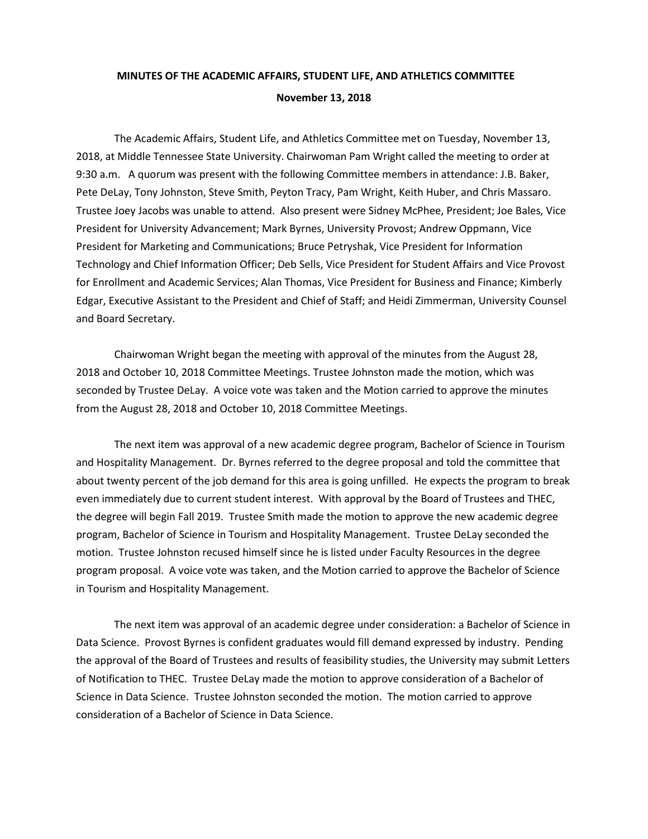## **MINUTES OF THE ACADEMIC AFFAIRS, STUDENT LIFE, AND ATHLETICS COMMITTEE November 13, 2018**

The Academic Affairs, Student Life, and Athletics Committee met on Tuesday, November 13, 2018, at Middle Tennessee State University. Chairwoman Pam Wright called the meeting to order at 9:30 a.m. A quorum was present with the following Committee members in attendance: J.B. Baker, Pete DeLay, Tony Johnston, Steve Smith, Peyton Tracy, Pam Wright, Keith Huber, and Chris Massaro. Trustee Joey Jacobs was unable to attend. Also present were Sidney McPhee, President; Joe Bales, Vice President for University Advancement; Mark Byrnes, University Provost; Andrew Oppmann, Vice President for Marketing and Communications; Bruce Petryshak, Vice President for Information Technology and Chief Information Officer; Deb Sells, Vice President for Student Affairs and Vice Provost for Enrollment and Academic Services; Alan Thomas, Vice President for Business and Finance; Kimberly Edgar, Executive Assistant to the President and Chief of Staff; and Heidi Zimmerman, University Counsel and Board Secretary.

Chairwoman Wright began the meeting with approval of the minutes from the August 28, 2018 and October 10, 2018 Committee Meetings. Trustee Johnston made the motion, which was seconded by Trustee DeLay. A voice vote was taken and the Motion carried to approve the minutes from the August 28, 2018 and October 10, 2018 Committee Meetings.

The next item was approval of a new academic degree program, Bachelor of Science in Tourism and Hospitality Management. Dr. Byrnes referred to the degree proposal and told the committee that about twenty percent of the job demand for this area is going unfilled. He expects the program to break even immediately due to current student interest. With approval by the Board of Trustees and THEC, the degree will begin Fall 2019. Trustee Smith made the motion to approve the new academic degree program, Bachelor of Science in Tourism and Hospitality Management. Trustee DeLay seconded the motion. Trustee Johnston recused himself since he is listed under Faculty Resources in the degree program proposal. A voice vote was taken, and the Motion carried to approve the Bachelor of Science in Tourism and Hospitality Management.

The next item was approval of an academic degree under consideration: a Bachelor of Science in Data Science. Provost Byrnes is confident graduates would fill demand expressed by industry. Pending the approval of the Board of Trustees and results of feasibility studies, the University may submit Letters of Notification to THEC. Trustee DeLay made the motion to approve consideration of a Bachelor of Science in Data Science. Trustee Johnston seconded the motion. The motion carried to approve consideration of a Bachelor of Science in Data Science.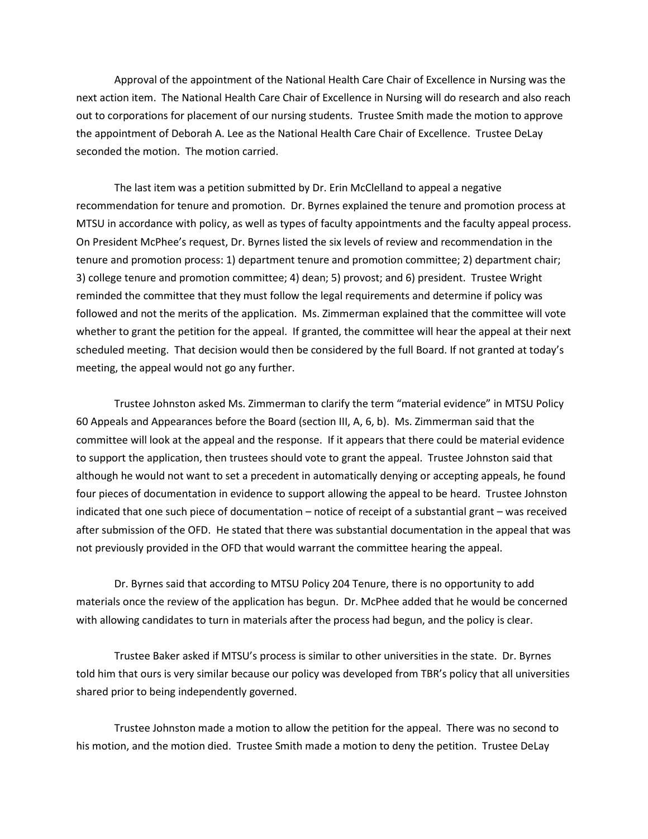Approval of the appointment of the National Health Care Chair of Excellence in Nursing was the next action item. The National Health Care Chair of Excellence in Nursing will do research and also reach out to corporations for placement of our nursing students. Trustee Smith made the motion to approve the appointment of Deborah A. Lee as the National Health Care Chair of Excellence. Trustee DeLay seconded the motion. The motion carried.

The last item was a petition submitted by Dr. Erin McClelland to appeal a negative recommendation for tenure and promotion. Dr. Byrnes explained the tenure and promotion process at MTSU in accordance with policy, as well as types of faculty appointments and the faculty appeal process. On President McPhee's request, Dr. Byrnes listed the six levels of review and recommendation in the tenure and promotion process: 1) department tenure and promotion committee; 2) department chair; 3) college tenure and promotion committee; 4) dean; 5) provost; and 6) president. Trustee Wright reminded the committee that they must follow the legal requirements and determine if policy was followed and not the merits of the application. Ms. Zimmerman explained that the committee will vote whether to grant the petition for the appeal. If granted, the committee will hear the appeal at their next scheduled meeting. That decision would then be considered by the full Board. If not granted at today's meeting, the appeal would not go any further.

Trustee Johnston asked Ms. Zimmerman to clarify the term "material evidence" in MTSU Policy 60 Appeals and Appearances before the Board (section III, A, 6, b). Ms. Zimmerman said that the committee will look at the appeal and the response. If it appears that there could be material evidence to support the application, then trustees should vote to grant the appeal. Trustee Johnston said that although he would not want to set a precedent in automatically denying or accepting appeals, he found four pieces of documentation in evidence to support allowing the appeal to be heard. Trustee Johnston indicated that one such piece of documentation – notice of receipt of a substantial grant – was received after submission of the OFD. He stated that there was substantial documentation in the appeal that was not previously provided in the OFD that would warrant the committee hearing the appeal.

Dr. Byrnes said that according to MTSU Policy 204 Tenure, there is no opportunity to add materials once the review of the application has begun. Dr. McPhee added that he would be concerned with allowing candidates to turn in materials after the process had begun, and the policy is clear.

Trustee Baker asked if MTSU's process is similar to other universities in the state. Dr. Byrnes told him that ours is very similar because our policy was developed from TBR's policy that all universities shared prior to being independently governed.

Trustee Johnston made a motion to allow the petition for the appeal. There was no second to his motion, and the motion died. Trustee Smith made a motion to deny the petition. Trustee DeLay